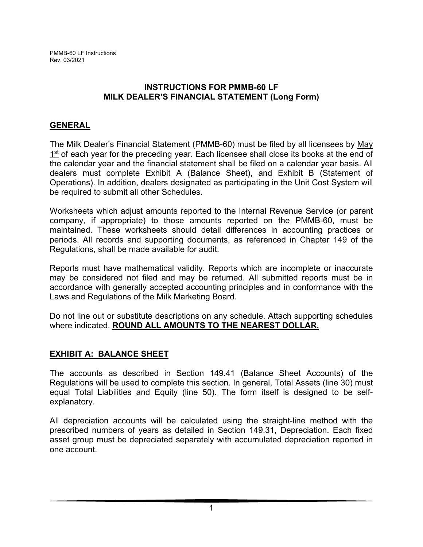## **INSTRUCTIONS FOR PMMB-60 LF MILK DEALER'S FINANCIAL STATEMENT (Long Form)**

# **GENERAL**

The Milk Dealer's Financial Statement (PMMB-60) must be filed by all licensees by May 1<sup>st</sup> of each year for the preceding year. Each licensee shall close its books at the end of the calendar year and the financial statement shall be filed on a calendar year basis. All dealers must complete Exhibit A (Balance Sheet), and Exhibit B (Statement of Operations). In addition, dealers designated as participating in the Unit Cost System will be required to submit all other Schedules.

Worksheets which adjust amounts reported to the Internal Revenue Service (or parent company, if appropriate) to those amounts reported on the PMMB-60, must be maintained. These worksheets should detail differences in accounting practices or periods. All records and supporting documents, as referenced in Chapter 149 of the Regulations, shall be made available for audit.

Reports must have mathematical validity. Reports which are incomplete or inaccurate may be considered not filed and may be returned. All submitted reports must be in accordance with generally accepted accounting principles and in conformance with the Laws and Regulations of the Milk Marketing Board.

Do not line out or substitute descriptions on any schedule. Attach supporting schedules where indicated. **ROUND ALL AMOUNTS TO THE NEAREST DOLLAR.** 

# **EXHIBIT A: BALANCE SHEET**

The accounts as described in Section 149.41 (Balance Sheet Accounts) of the Regulations will be used to complete this section. In general, Total Assets (line 30) must equal Total Liabilities and Equity (line 50). The form itself is designed to be selfexplanatory.

All depreciation accounts will be calculated using the straight-line method with the prescribed numbers of years as detailed in Section 149.31, Depreciation. Each fixed asset group must be depreciated separately with accumulated depreciation reported in one account.

1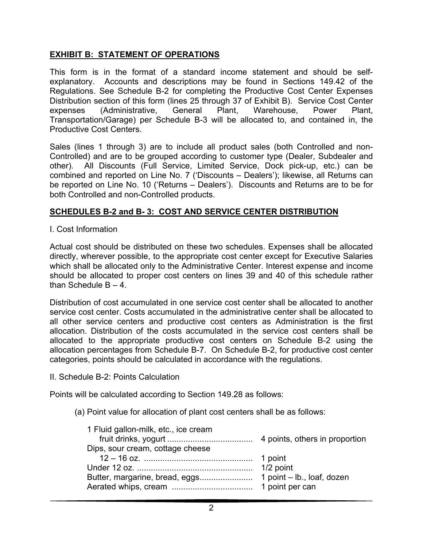# **EXHIBIT B: STATEMENT OF OPERATIONS**

This form is in the format of a standard income statement and should be selfexplanatory. Accounts and descriptions may be found in Sections 149.42 of the Regulations. See Schedule B-2 for completing the Productive Cost Center Expenses Distribution section of this form (lines 25 through 37 of Exhibit B). Service Cost Center expenses (Administrative, General Plant, Warehouse, Power Plant, Transportation/Garage) per Schedule B-3 will be allocated to, and contained in, the Productive Cost Centers.

Sales (lines 1 through 3) are to include all product sales (both Controlled and non-Controlled) and are to be grouped according to customer type (Dealer, Subdealer and other). All Discounts (Full Service, Limited Service, Dock pick-up, etc.) can be combined and reported on Line No. 7 ('Discounts – Dealers'); likewise, all Returns can be reported on Line No. 10 ('Returns – Dealers'). Discounts and Returns are to be for both Controlled and non-Controlled products.

# **SCHEDULES B-2 and B- 3: COST AND SERVICE CENTER DISTRIBUTION**

## I. Cost Information

Actual cost should be distributed on these two schedules. Expenses shall be allocated directly, wherever possible, to the appropriate cost center except for Executive Salaries which shall be allocated only to the Administrative Center. Interest expense and income should be allocated to proper cost centers on lines 39 and 40 of this schedule rather than Schedule  $B - 4$ .

Distribution of cost accumulated in one service cost center shall be allocated to another service cost center. Costs accumulated in the administrative center shall be allocated to all other service centers and productive cost centers as Administration is the first allocation. Distribution of the costs accumulated in the service cost centers shall be allocated to the appropriate productive cost centers on Schedule B-2 using the allocation percentages from Schedule B-7. On Schedule B-2, for productive cost center categories, points should be calculated in accordance with the regulations.

## II. Schedule B-2: Points Calculation

Points will be calculated according to Section 149.28 as follows:

(a) Point value for allocation of plant cost centers shall be as follows: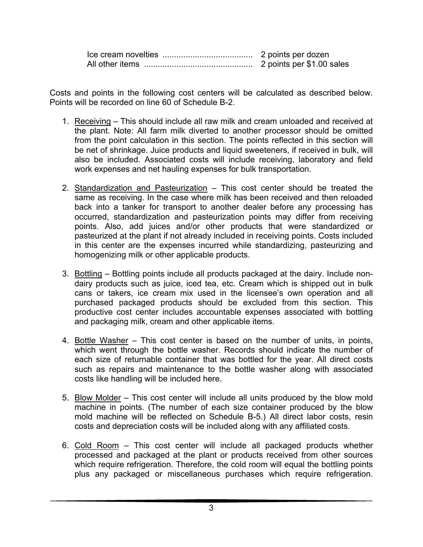| 2 points per \$1.00 sales |
|---------------------------|

Costs and points in the following cost centers will be calculated as described below. Points will be recorded on line 60 of Schedule B-2.

- 1. Receiving This should include all raw milk and cream unloaded and received at the plant. Note: All farm milk diverted to another processor should be omitted from the point calculation in this section. The points reflected in this section will be net of shrinkage. Juice products and liquid sweeteners, if received in bulk, will also be included. Associated costs will include receiving, laboratory and field work expenses and net hauling expenses for bulk transportation.
- 2. Standardization and Pasteurization This cost center should be treated the same as receiving. In the case where milk has been received and then reloaded back into a tanker for transport to another dealer before any processing has occurred, standardization and pasteurization points may differ from receiving points. Also, add juices and/or other products that were standardized or pasteurized at the plant if not already included in receiving points. Costs included in this center are the expenses incurred while standardizing, pasteurizing and homogenizing milk or other applicable products.
- 3. Bottling Bottling points include all products packaged at the dairy. Include nondairy products such as juice, iced tea, etc. Cream which is shipped out in bulk cans or takers, ice cream mix used in the licensee's own operation and all purchased packaged products should be excluded from this section. This productive cost center includes accountable expenses associated with bottling and packaging milk, cream and other applicable items.
- 4. Bottle Washer This cost center is based on the number of units, in points, which went through the bottle washer. Records should indicate the number of each size of returnable container that was bottled for the year. All direct costs such as repairs and maintenance to the bottle washer along with associated costs like handling will be included here.
- 5. Blow Molder This cost center will include all units produced by the blow mold machine in points. (The number of each size container produced by the blow mold machine will be reflected on Schedule B-5.) All direct labor costs, resin costs and depreciation costs will be included along with any affiliated costs.
- 6. Cold Room This cost center will include all packaged products whether processed and packaged at the plant or products received from other sources which require refrigeration. Therefore, the cold room will equal the bottling points plus any packaged or miscellaneous purchases which require refrigeration.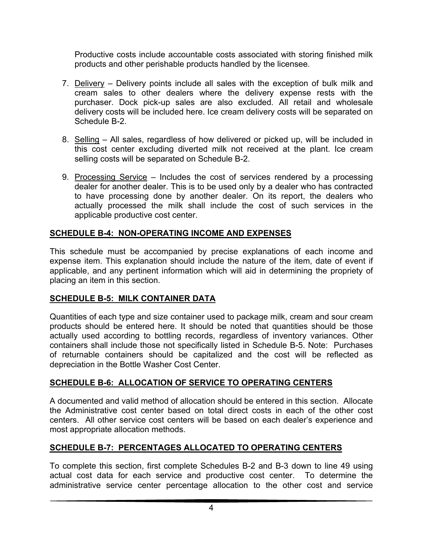Productive costs include accountable costs associated with storing finished milk products and other perishable products handled by the licensee.

- 7. Delivery Delivery points include all sales with the exception of bulk milk and cream sales to other dealers where the delivery expense rests with the purchaser. Dock pick-up sales are also excluded. All retail and wholesale delivery costs will be included here. Ice cream delivery costs will be separated on Schedule B-2.
- 8. Selling All sales, regardless of how delivered or picked up, will be included in this cost center excluding diverted milk not received at the plant. Ice cream selling costs will be separated on Schedule B-2.
- 9. Processing Service Includes the cost of services rendered by a processing dealer for another dealer. This is to be used only by a dealer who has contracted to have processing done by another dealer. On its report, the dealers who actually processed the milk shall include the cost of such services in the applicable productive cost center.

# **SCHEDULE B-4: NON-OPERATING INCOME AND EXPENSES**

This schedule must be accompanied by precise explanations of each income and expense item. This explanation should include the nature of the item, date of event if applicable, and any pertinent information which will aid in determining the propriety of placing an item in this section.

## **SCHEDULE B-5: MILK CONTAINER DATA**

Quantities of each type and size container used to package milk, cream and sour cream products should be entered here. It should be noted that quantities should be those actually used according to bottling records, regardless of inventory variances. Other containers shall include those not specifically listed in Schedule B-5. Note: Purchases of returnable containers should be capitalized and the cost will be reflected as depreciation in the Bottle Washer Cost Center.

# **SCHEDULE B-6: ALLOCATION OF SERVICE TO OPERATING CENTERS**

A documented and valid method of allocation should be entered in this section. Allocate the Administrative cost center based on total direct costs in each of the other cost centers. All other service cost centers will be based on each dealer's experience and most appropriate allocation methods.

# **SCHEDULE B-7: PERCENTAGES ALLOCATED TO OPERATING CENTERS**

To complete this section, first complete Schedules B-2 and B-3 down to line 49 using actual cost data for each service and productive cost center. To determine the administrative service center percentage allocation to the other cost and service